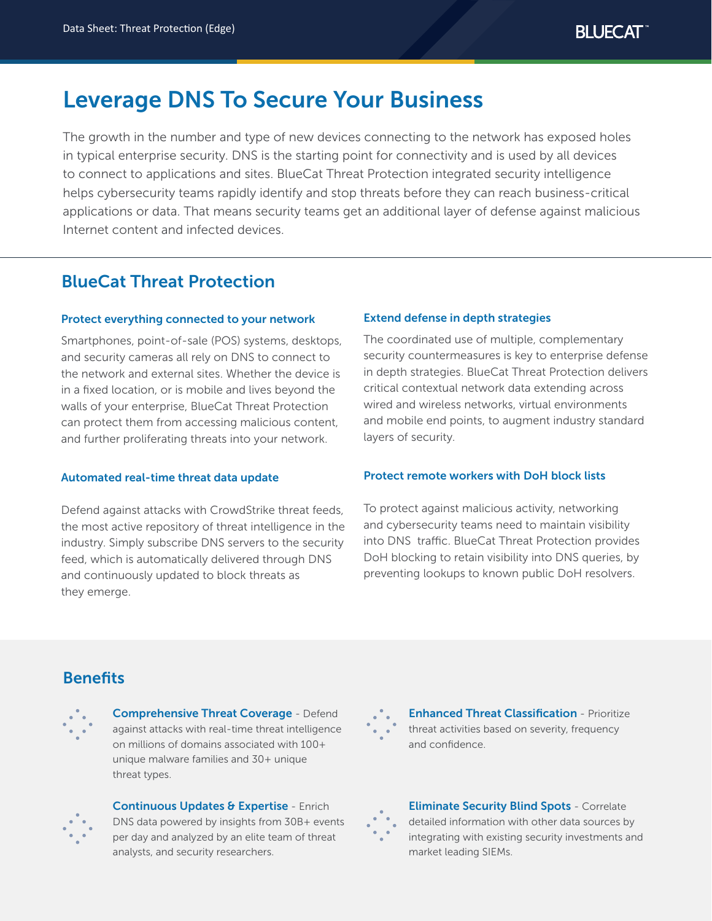# Leverage DNS To Secure Your Business

The growth in the number and type of new devices connecting to the network has exposed holes in typical enterprise security. DNS is the starting point for connectivity and is used by all devices to connect to applications and sites. BlueCat Threat Protection integrated security intelligence helps cybersecurity teams rapidly identify and stop threats before they can reach business-critical applications or data. That means security teams get an additional layer of defense against malicious Internet content and infected devices.

## BlueCat Threat Protection

### Protect everything connected to your network

Smartphones, point-of-sale (POS) systems, desktops, and security cameras all rely on DNS to connect to the network and external sites. Whether the device is in a fixed location, or is mobile and lives beyond the walls of your enterprise, BlueCat Threat Protection can protect them from accessing malicious content, and further proliferating threats into your network.

#### Automated real-time threat data update

Defend against attacks with CrowdStrike threat feeds, the most active repository of threat intelligence in the industry. Simply subscribe DNS servers to the security feed, which is automatically delivered through DNS and continuously updated to block threats as they emerge.

#### Extend defense in depth strategies

The coordinated use of multiple, complementary security countermeasures is key to enterprise defense in depth strategies. BlueCat Threat Protection delivers critical contextual network data extending across wired and wireless networks, virtual environments and mobile end points, to augment industry standard layers of security.

### Protect remote workers with DoH block lists

To protect against malicious activity, networking and cybersecurity teams need to maintain visibility into DNS traffic. BlueCat Threat Protection provides DoH blocking to retain visibility into DNS queries, by preventing lookups to known public DoH resolvers.

## **Benefits**



**Comprehensive Threat Coverage - Defend** against attacks with real-time threat intelligence on millions of domains associated with 100+ unique malware families and 30+ unique threat types.



Continuous Updates & Expertise - Enrich DNS data powered by insights from 30B+ events per day and analyzed by an elite team of threat analysts, and security researchers.



**Enhanced Threat Classification - Prioritize** threat activities based on severity, frequency and confidence.



Eliminate Security Blind Spots - Correlate detailed information with other data sources by integrating with existing security investments and market leading SIEMs.